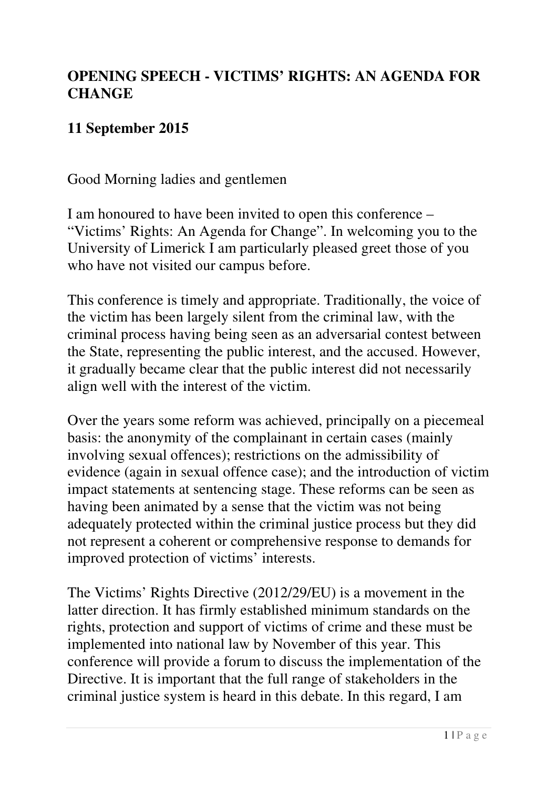## **OPENING SPEECH - VICTIMS' RIGHTS: AN AGENDA FOR CHANGE**

## **11 September 2015**

Good Morning ladies and gentlemen

I am honoured to have been invited to open this conference – "Victims' Rights: An Agenda for Change". In welcoming you to the University of Limerick I am particularly pleased greet those of you who have not visited our campus before.

This conference is timely and appropriate. Traditionally, the voice of the victim has been largely silent from the criminal law, with the criminal process having being seen as an adversarial contest between the State, representing the public interest, and the accused. However, it gradually became clear that the public interest did not necessarily align well with the interest of the victim.

Over the years some reform was achieved, principally on a piecemeal basis: the anonymity of the complainant in certain cases (mainly involving sexual offences); restrictions on the admissibility of evidence (again in sexual offence case); and the introduction of victim impact statements at sentencing stage. These reforms can be seen as having been animated by a sense that the victim was not being adequately protected within the criminal justice process but they did not represent a coherent or comprehensive response to demands for improved protection of victims' interests.

The Victims' Rights Directive (2012/29/EU) is a movement in the latter direction. It has firmly established minimum standards on the rights, protection and support of victims of crime and these must be implemented into national law by November of this year. This conference will provide a forum to discuss the implementation of the Directive. It is important that the full range of stakeholders in the criminal justice system is heard in this debate. In this regard, I am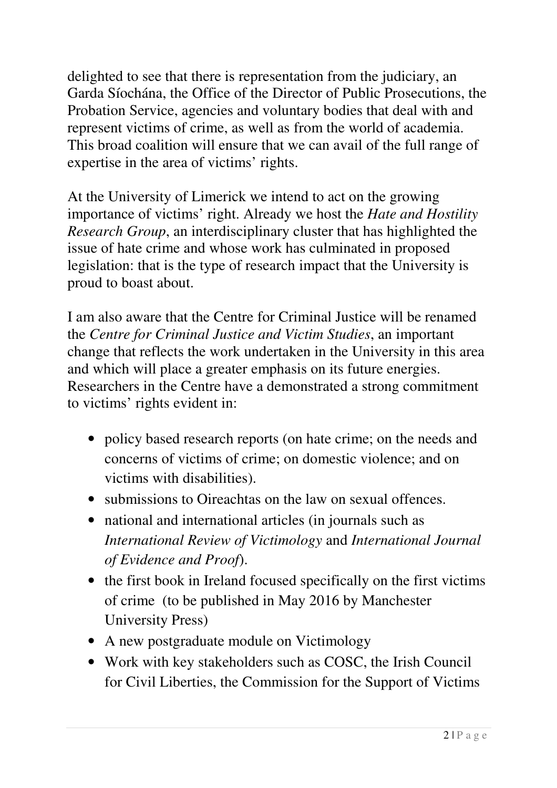delighted to see that there is representation from the judiciary, an Garda Síochána, the Office of the Director of Public Prosecutions, the Probation Service, agencies and voluntary bodies that deal with and represent victims of crime, as well as from the world of academia. This broad coalition will ensure that we can avail of the full range of expertise in the area of victims' rights.

At the University of Limerick we intend to act on the growing importance of victims' right. Already we host the *Hate and Hostility Research Group*, an interdisciplinary cluster that has highlighted the issue of hate crime and whose work has culminated in proposed legislation: that is the type of research impact that the University is proud to boast about.

I am also aware that the Centre for Criminal Justice will be renamed the *Centre for Criminal Justice and Victim Studies*, an important change that reflects the work undertaken in the University in this area and which will place a greater emphasis on its future energies. Researchers in the Centre have a demonstrated a strong commitment to victims' rights evident in:

- policy based research reports (on hate crime; on the needs and concerns of victims of crime; on domestic violence; and on victims with disabilities).
- submissions to Oireachtas on the law on sexual offences.
- national and international articles (in journals such as *International Review of Victimology* and *International Journal of Evidence and Proof*).
- the first book in Ireland focused specifically on the first victims of crime (to be published in May 2016 by Manchester University Press)
- A new postgraduate module on Victimology
- Work with key stakeholders such as COSC, the Irish Council for Civil Liberties, the Commission for the Support of Victims